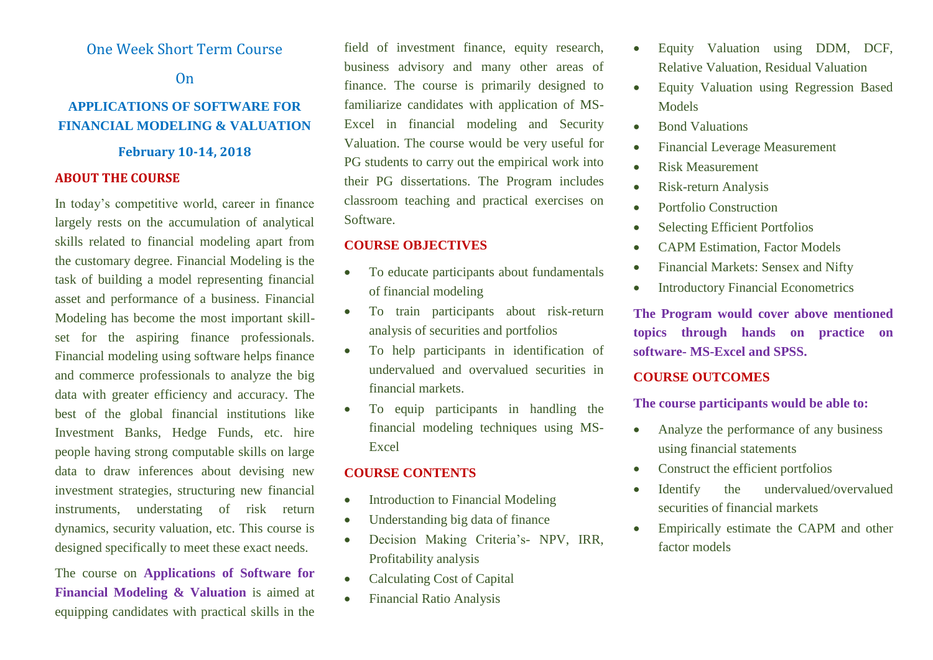## One Week Short Term Course

On

## **APPLICATIONS OF SOFTWARE FOR FINANCIAL MODELING & VALUATION**

#### **February 10-14, 2018**

#### **ABOUT THE COURSE**

In today's competitive world, career in finance largely rests on the accumulation of analytical skills related to financial modeling apart from the customary degree. Financial Modeling is the task of building a model representing financial asset and performance of a business. Financial Modeling has become the most important skillset for the aspiring finance professionals. Financial modeling using software helps finance and commerce professionals to analyze the big data with greater efficiency and accuracy. The best of the global financial institutions like Investment Banks, Hedge Funds, etc. hire people having strong computable skills on large data to draw inferences about devising new investment strategies, structuring new financial instruments, understating of risk return dynamics, security valuation, etc. This course is designed specifically to meet these exact needs.

The course on **Applications of Software for Financial Modeling & Valuation** is aimed at equipping candidates with practical skills in the

field of investment finance, equity research, business advisory and many other areas of finance. The course is primarily designed to familiarize candidates with application of MS-Excel in financial modeling and Security Valuation. The course would be very useful for PG students to carry out the empirical work into their PG dissertations. The Program includes classroom teaching and practical exercises on Software.

## **COURSE OBJECTIVES**

- To educate participants about fundamentals of financial modeling
- To train participants about risk-return analysis of securities and portfolios
- To help participants in identification of undervalued and overvalued securities in financial markets.
- To equip participants in handling the financial modeling techniques using MS-Excel

## **COURSE CONTENTS**

- Introduction to Financial Modeling
- Understanding big data of finance
- Decision Making Criteria's- NPV, IRR, Profitability analysis
- Calculating Cost of Capital
- Financial Ratio Analysis
- Equity Valuation using DDM, DCF, Relative Valuation, Residual Valuation
- Equity Valuation using Regression Based **Models**
- Bond Valuations
- Financial Leverage Measurement
- Risk Measurement
- Risk-return Analysis
- Portfolio Construction
- Selecting Efficient Portfolios
- CAPM Estimation, Factor Models
- Financial Markets: Sensex and Nifty
- Introductory Financial Econometrics

**The Program would cover above mentioned topics through hands on practice on software- MS-Excel and SPSS.**

### **COURSE OUTCOMES**

**The course participants would be able to:**

- Analyze the performance of any business using financial statements
- Construct the efficient portfolios
- Identify the undervalued/overvalued securities of financial markets
- Empirically estimate the CAPM and other factor models